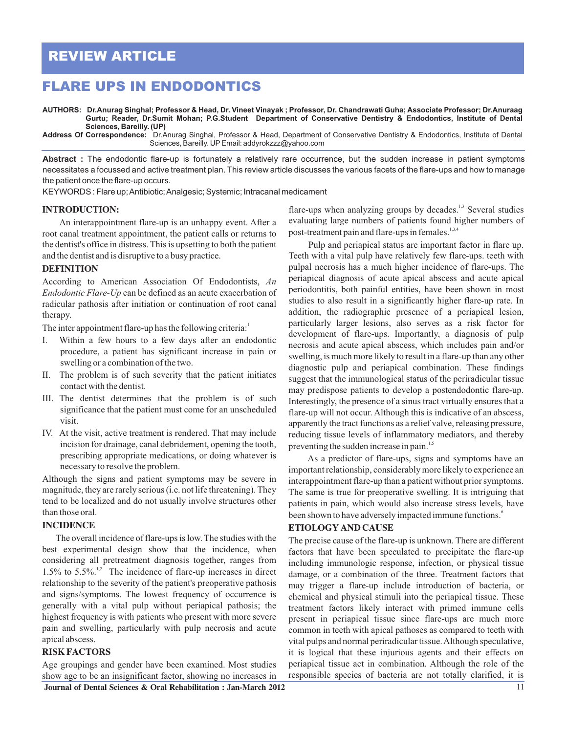# **REVIEW ARTICLE**

## **FLARE UPS IN ENDODONTICS**

AUTHORS: Dr.Anurag Singhal; Professor & Head, Dr. Vineet Vinayak ; Professor, Dr. Chandrawati Guha; Associate Professor; Dr.Anuraag **Gurtu; Reader, Dr.Sumit Mohan; P.G.Student Department of Conservative Dentistry & Endodontics, Institute of Dental Sciences, Bareilly. (UP)**

**Address Of Correspondence:** Dr.Anurag Singhal, Professor & Head, Department of Conservative Dentistry & Endodontics, Institute of Dental Sciences, Bareilly. UP Email: addyrokzzz@yahoo.com

**Abstract :** The endodontic flare-up is fortunately a relatively rare occurrence, but the sudden increase in patient symptoms necessitates a focussed and active treatment plan. This review article discusses the various facets of the flare-ups and how to manage the patient once the flare-up occurs.

KEYWORDS : Flare up; Antibiotic; Analgesic; Systemic; Intracanal medicament

#### **INTRODUCTION:**

An interappointment flare-up is an unhappy event. After a root canal treatment appointment, the patient calls or returns to the dentist's office in distress. This is upsetting to both the patient and the dentist and is disruptive to a busy practice.

#### **DEFINITION**

According to American Association Of Endodontists, *An Endodontic Flare-Up* can be defined as an acute exacerbation of radicular pathosis after initiation or continuation of root canal therapy.

The inter appointment flare-up has the following criteria:

- I. Within a few hours to a few days after an endodontic procedure, a patient has significant increase in pain or swelling or a combination of the two.
- II. The problem is of such severity that the patient initiates contact with the dentist.
- III. The dentist determines that the problem is of such significance that the patient must come for an unscheduled visit.
- IV. At the visit, active treatment is rendered. That may include incision for drainage, canal debridement, opening the tooth, prescribing appropriate medications, or doing whatever is necessary to resolve the problem.

Although the signs and patient symptoms may be severe in magnitude, they are rarely serious (i.e. not life threatening). They tend to be localized and do not usually involve structures other than those oral.

#### **INCIDENCE**

 The overall incidence of flare-ups is low. The studies with the best experimental design show that the incidence, when considering all pretreatment diagnosis together, ranges from 1.5% to  $5.5\%$ .<sup>1,2</sup> The incidence of flare-up increases in direct relationship to the severity of the patient's preoperative pathosis and signs/symptoms. The lowest frequency of occurrence is generally with a vital pulp without periapical pathosis; the highest frequency is with patients who present with more severe pain and swelling, particularly with pulp necrosis and acute apical abscess.

#### **RISK FACTORS**

Age groupings and gender have been examined. Most studies show age to be an insignificant factor, showing no increases in

flare-ups when analyzing groups by decades.<sup>1,3</sup> Several studies evaluating large numbers of patients found higher numbers of post-treatment pain and flare-ups in females. $1,3,4$ 

 Pulp and periapical status are important factor in flare up. Teeth with a vital pulp have relatively few flare-ups. teeth with pulpal necrosis has a much higher incidence of flare-ups. The periapical diagnosis of acute apical abscess and acute apical periodontitis, both painful entities, have been shown in most studies to also result in a significantly higher flare-up rate. In addition, the radiographic presence of a periapical lesion, particularly larger lesions, also serves as a risk factor for development of flare-ups. Importantly, a diagnosis of pulp necrosis and acute apical abscess, which includes pain and/or swelling, is much more likely to result in a flare-up than any other diagnostic pulp and periapical combination. These findings suggest that the immunological status of the periradicular tissue may predispose patients to develop a postendodontic flare-up. Interestingly, the presence of a sinus tract virtually ensures that a flare-up will not occur. Although this is indicative of an abscess, apparently the tract functions as a relief valve, releasing pressure, reducing tissue levels of inflammatory mediators, and thereby preventing the sudden increase in pain. $\frac{1}{2}$ .

 As a predictor of flare-ups, signs and symptoms have an important relationship, considerably more likely to experience an interappointment flare-up than a patient without prior symptoms. The same is true for preoperative swelling. It is intriguing that patients in pain, which would also increase stress levels, have been shown to have adversely impacted immune functions.<sup>6</sup>

#### **ETIOLOGY AND CAUSE**

The precise cause of the flare-up is unknown. There are different factors that have been speculated to precipitate the flare-up including immunologic response, infection, or physical tissue damage, or a combination of the three. Treatment factors that may trigger a flare-up include introduction of bacteria, or chemical and physical stimuli into the periapical tissue. These treatment factors likely interact with primed immune cells present in periapical tissue since flare-ups are much more common in teeth with apical pathoses as compared to teeth with vital pulps and normal periradicular tissue. Although speculative, it is logical that these injurious agents and their effects on periapical tissue act in combination. Although the role of the responsible species of bacteria are not totally clarified, it is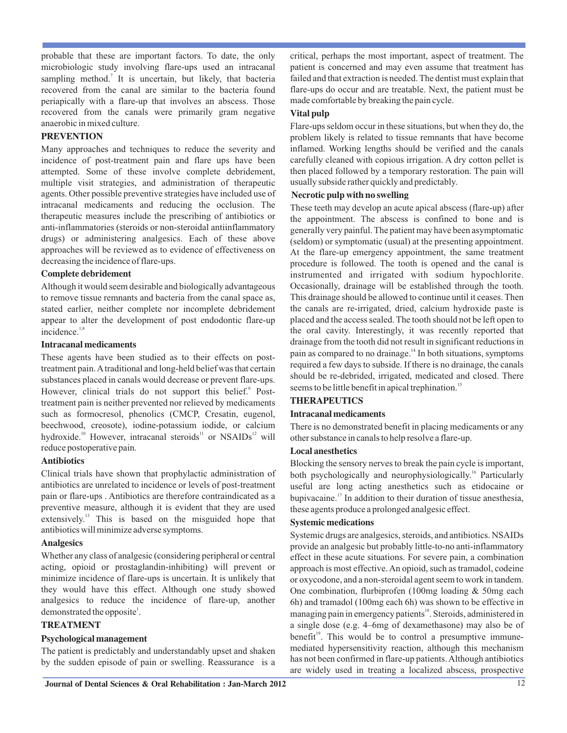probable that these are important factors. To date, the only microbiologic study involving flare-ups used an intracanal sampling method.<sup>7</sup> It is uncertain, but likely, that bacteria recovered from the canal are similar to the bacteria found periapically with a flare-up that involves an abscess. Those recovered from the canals were primarily gram negative anaerobic in mixed culture.

## **PREVENTION**

Many approaches and techniques to reduce the severity and incidence of post-treatment pain and flare ups have been attempted. Some of these involve complete debridement, multiple visit strategies, and administration of therapeutic agents. Other possible preventive strategies have included use of intracanal medicaments and reducing the occlusion. The therapeutic measures include the prescribing of antibiotics or anti-inflammatories (steroids or non-steroidal antiinflammatory drugs) or administering analgesics. Each of these above approaches will be reviewed as to evidence of effectiveness on decreasing the incidence of flare-ups.

#### **Complete debridement**

Although it would seem desirable and biologically advantageous to remove tissue remnants and bacteria from the canal space as, stated earlier, neither complete nor incomplete debridement appear to alter the development of post endodontic flare-up  $incidence.<sup>1,8</sup>$ 

#### **Intracanal medicaments**

These agents have been studied as to their effects on posttreatment pain. A traditional and long-held belief was that certain substances placed in canals would decrease or prevent flare-ups. However, clinical trials do not support this belief.<sup>9</sup> Posttreatment pain is neither prevented nor relieved by medicaments such as formocresol, phenolics (CMCP, Cresatin, eugenol, beechwood, creosote), iodine-potassium iodide, or calcium hydroxide.<sup>10</sup> However, intracanal steroids<sup>11</sup> or NSAIDs<sup>12</sup> will reduce postoperative pain.

## **Antibiotics**

Clinical trials have shown that prophylactic administration of antibiotics are unrelated to incidence or levels of post-treatment pain or flare-ups . Antibiotics are therefore contraindicated as a preventive measure, although it is evident that they are used extensively.<sup>13</sup> This is based on the misguided hope that antibiotics will minimize adverse symptoms.

## **Analgesics**

Whether any class of analgesic (considering peripheral or central acting, opioid or prostaglandin-inhibiting) will prevent or minimize incidence of flare-ups is uncertain. It is unlikely that they would have this effect. Although one study showed analgesics to reduce the incidence of flare-up, another demonstrated the opposite<sup>1</sup>.

## **TREATMENT**

## **Psychological management**

The patient is predictably and understandably upset and shaken by the sudden episode of pain or swelling. Reassurance is a

critical, perhaps the most important, aspect of treatment. The patient is concerned and may even assume that treatment has failed and that extraction is needed. The dentist must explain that flare-ups do occur and are treatable. Next, the patient must be made comfortable by breaking the pain cycle.

#### **Vital pulp**

Flare-ups seldom occur in these situations, but when they do, the problem likely is related to tissue remnants that have become inflamed. Working lengths should be verified and the canals carefully cleaned with copious irrigation. A dry cotton pellet is then placed followed by a temporary restoration. The pain will usually subside rather quickly and predictably.

## **Necrotic pulp with no swelling**

These teeth may develop an acute apical abscess (flare-up) after the appointment. The abscess is confined to bone and is generally very painful. The patient may have been asymptomatic (seldom) or symptomatic (usual) at the presenting appointment. At the flare-up emergency appointment, the same treatment procedure is followed. The tooth is opened and the canal is instrumented and irrigated with sodium hypochlorite. Occasionally, drainage will be established through the tooth. This drainage should be allowed to continue until it ceases. Then the canals are re-irrigated, dried, calcium hydroxide paste is placed and the access sealed. The tooth should not be left open to the oral cavity. Interestingly, it was recently reported that drainage from the tooth did not result in significant reductions in pain as compared to no drainage.<sup>14</sup> In both situations, symptoms required a few days to subside. If there is no drainage, the canals should be re-debrided, irrigated, medicated and closed. There seems to be little benefit in apical trephination.<sup>15</sup>

## **THERAPEUTICS**

#### **Intracanal medicaments**

There is no demonstrated benefit in placing medicaments or any other substance in canals to help resolve a flare-up.

#### **Local anesthetics**

Blocking the sensory nerves to break the pain cycle is important, both psychologically and neurophysiologically.<sup>16</sup> Particularly useful are long acting anesthetics such as etidocaine or bupivacaine.<sup>17</sup> In addition to their duration of tissue anesthesia, these agents produce a prolonged analgesic effect.

#### **Systemic medications**

Systemic drugs are analgesics, steroids, and antibiotics. NSAIDs provide an analgesic but probably little-to-no anti-inflammatory effect in these acute situations. For severe pain, a combination approach is most effective. An opioid, such as tramadol, codeine or oxycodone, and a non-steroidal agent seem to work in tandem. One combination, flurbiprofen (100mg loading & 50mg each 6h) and tramadol (100mg each 6h) was shown to be effective in managing pain in emergency patients<sup>18</sup>. Steroids, administered in a single dose (e.g. 4–6mg of dexamethasone) may also be of benefit<sup>19</sup>. This would be to control a presumptive immunemediated hypersensitivity reaction, although this mechanism has not been confirmed in flare-up patients. Although antibiotics are widely used in treating a localized abscess, prospective